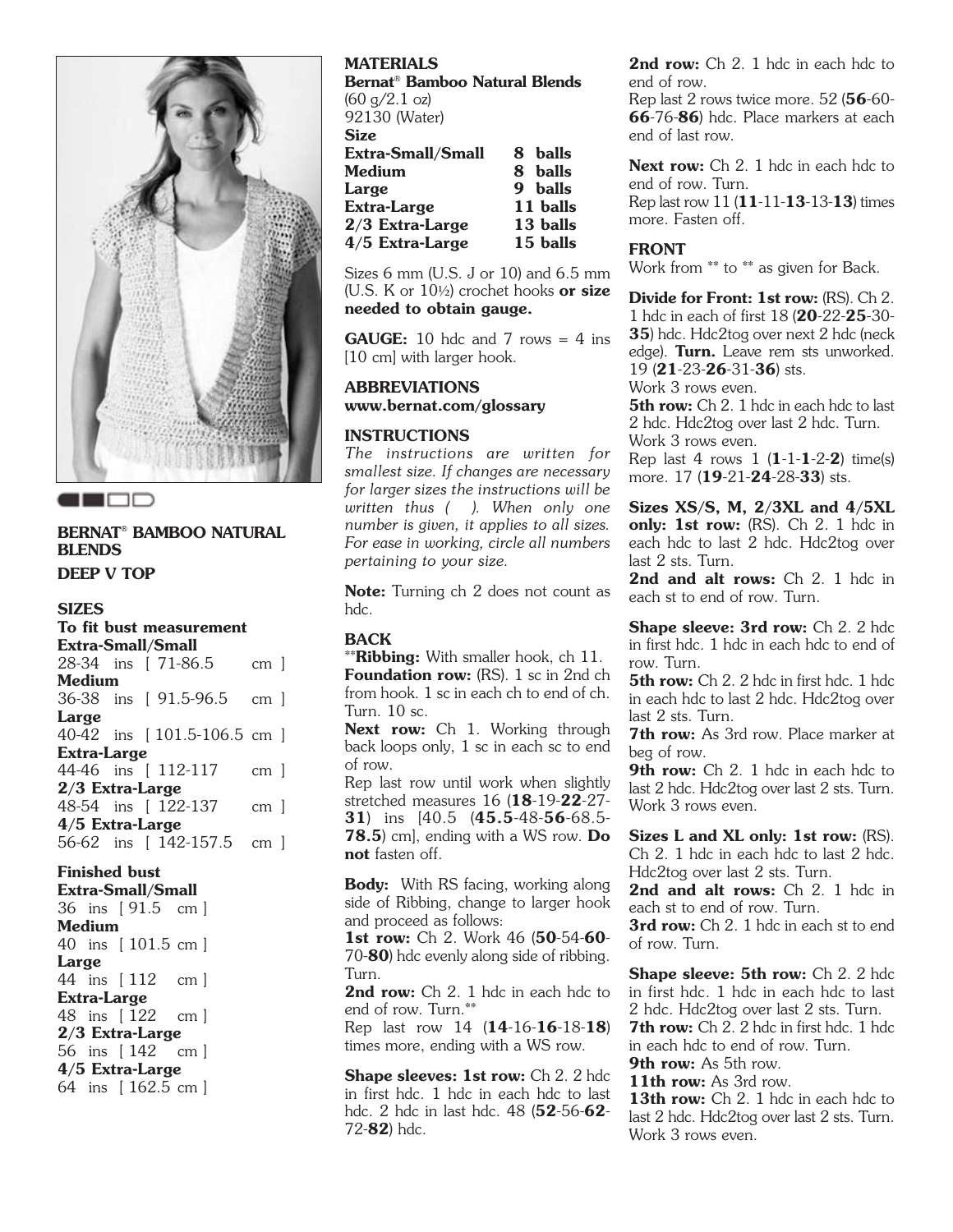

# **BERNAT® BAMBOO NATURAL BLENDS**

**DEEP V TOP**

### **SIZES**

|                                                                                                                               |  |  | To fit bust measurement |                 |  |
|-------------------------------------------------------------------------------------------------------------------------------|--|--|-------------------------|-----------------|--|
| <b>Extra-Small/Small</b>                                                                                                      |  |  |                         |                 |  |
|                                                                                                                               |  |  | 28-34 ins [ 71-86.5     | cm 1            |  |
| Medium                                                                                                                        |  |  |                         |                 |  |
|                                                                                                                               |  |  | 36-38 ins [ 91.5-96.5   | cm <sub>1</sub> |  |
| Large                                                                                                                         |  |  |                         |                 |  |
|                                                                                                                               |  |  |                         |                 |  |
| Extra-Large                                                                                                                   |  |  |                         |                 |  |
|                                                                                                                               |  |  |                         | cm 1            |  |
| 2/3 Extra-Large                                                                                                               |  |  |                         |                 |  |
|                                                                                                                               |  |  |                         | cm 1            |  |
| 40-42 ins [101.5-106.5 cm ]<br>44-46 ins [ 112-117<br>48-54 ins [ 122-137<br>4/5 Extra-Large<br>56-62 ins [ 142-157.5<br>cm 1 |  |  |                         |                 |  |
|                                                                                                                               |  |  |                         |                 |  |

## **Finished bust**

**Extra-Small/Small** 36 ins [ 91.5 cm ] **Medium** 40 ins [ 101.5 cm ] **Large** 44 ins [ 112 cm ] **Extra-Large** 48 ins [ 122 cm ] **2/3 Extra-Large** 56 ins [ 142 cm ] **4/5 Extra-Large** 64 ins [ 162.5 cm ]

### **MATERIALS**

**Bernat® Bamboo Natural Blends**  $(60 \text{ g}/2.1 \text{ oz})$ 92130 (Water) **Size Extra-Small/Small 8 balls Medium Large 9 balls Extra-Large 11 balls 2/3 Extra-Large 4/5 Extra-Large 15 balls** 

Sizes 6 mm (U.S. J or 10) and 6.5 mm (U.S. K or 10½) crochet hooks **or size needed to obtain gauge.**

**GAUGE:** 10 hdc and 7 rows  $= 4$  ins [10 cm] with larger hook.

## **ABBREVIATIONS www.bernat.com/glossary**

#### **INSTRUCTIONS**

*The instructions are written for smallest size. If changes are necessary for larger sizes the instructions will be written thus ( ). When only one number is given, it applies to all sizes. For ease in working, circle all numbers pertaining to your size.*

**Note:** Turning ch 2 does not count as hdc.

#### **BACK**

\*\***Ribbing:** With smaller hook, ch 11. **Foundation row:** (RS). 1 sc in 2nd ch from hook. 1 sc in each ch to end of ch. Turn. 10 sc.

**Next row:** Ch 1. Working through back loops only, 1 sc in each sc to end of row.

Rep last row until work when slightly stretched measures 16 (**18**-19-**22**-27- **31**) ins [40.5 (**45.5**-48-**56**-68.5- **78.5**) cm], ending with a WS row. **Do not** fasten off.

**Body:** With RS facing, working along side of Ribbing, change to larger hook and proceed as follows:

**1st row:** Ch 2. Work 46 (**50**-54-**60**- 70-**80**) hdc evenly along side of ribbing. Turn.

2nd row: Ch 2. 1 hdc in each hdc to end of row. Turn.\*\*

Rep last row 14 (**14**-16-**16**-18-**18**) times more, ending with a WS row.

**Shape sleeves: 1st row:** Ch 2. 2 hdc in first hdc. 1 hdc in each hdc to last hdc. 2 hdc in last hdc. 48 (**52**-56-**62**- 72-**82**) hdc.

2nd row: Ch 2. 1 hdc in each hdc to end of row.

Rep last 2 rows twice more. 52 (**56**-60- **66**-76-**86**) hdc. Place markers at each end of last row.

**Next row:** Ch 2. 1 hdc in each hdc to end of row. Turn. Rep last row 11 (**11**-11-**13**-13-**13**) times

more. Fasten off.

#### **FRONT**

Work from \*\* to \*\* as given for Back.

**Divide for Front: 1st row:** (RS). Ch 2. 1 hdc in each of first 18 (**20**-22-**25**-30- **35**) hdc. Hdc2tog over next 2 hdc (neck edge). **Turn.** Leave rem sts unworked. 19 (**21**-23-**26**-31-**36**) sts. Work 3 rows even.

**5th row:** Ch 2. 1 hdc in each hdc to last 2 hdc. Hdc2tog over last 2 hdc. Turn. Work 3 rows even.

Rep last 4 rows 1 (**1**-1-**1**-2-**2**) time(s) more. 17 (**19**-21-**24**-28-**33**) sts.

**Sizes XS/S, M, 2/3XL and 4/5XL only: 1st row:** (RS). Ch 2. 1 hdc in each hdc to last 2 hdc. Hdc2tog over last 2 sts. Turn.

2nd and alt rows: Ch 2. 1 hdc in each st to end of row. Turn.

**Shape sleeve: 3rd row:** Ch 2. 2 hdc in first hdc. 1 hdc in each hdc to end of row. Turn.

**5th row:** Ch 2. 2 hdc in first hdc. 1 hdc in each hdc to last 2 hdc. Hdc2tog over last 2 sts. Turn.

**7th row:** As 3rd row. Place marker at beg of row.

9th row: Ch 2. 1 hdc in each hdc to last 2 hdc. Hdc2tog over last 2 sts. Turn. Work 3 rows even.

**Sizes L and XL only: 1st row:** (RS). Ch 2. 1 hdc in each hdc to last 2 hdc. Hdc2tog over last 2 sts. Turn.

2nd and alt rows: Ch 2. 1 hdc in each st to end of row. Turn.

**3rd row:** Ch 2. 1 hdc in each st to end of row. Turn.

**Shape sleeve: 5th row: Ch 2. 2 hdc** in first hdc. 1 hdc in each hdc to last 2 hdc. Hdc2tog over last 2 sts. Turn. **7th row:** Ch 2. 2 hdc in first hdc. 1 hdc in each hdc to end of row. Turn.

**9th row:** As 5th row.

**11th row:** As 3rd row.

13th row: Ch 2. 1 hdc in each hdc to last 2 hdc. Hdc2tog over last 2 sts. Turn. Work 3 rows even.